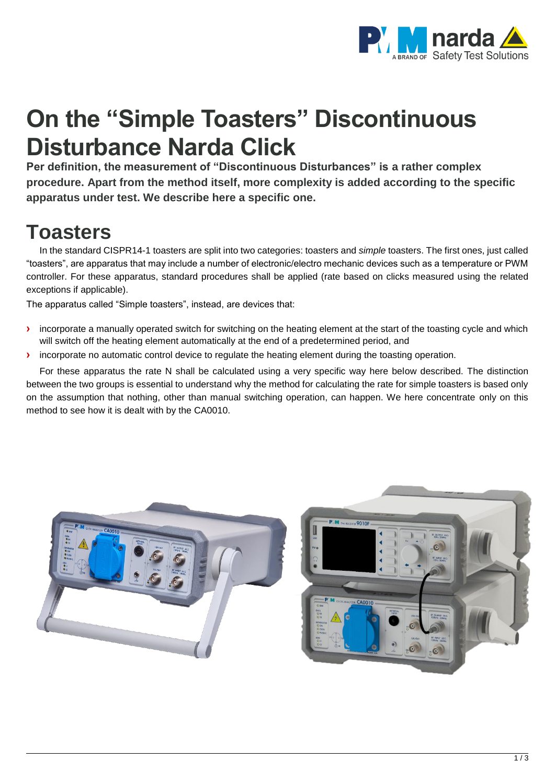

# **On the "Simple Toasters" Discontinuous Disturbance Narda Click**

**Per definition, the measurement of "Discontinuous Disturbances" is a rather complex procedure. Apart from the method itself, more complexity is added according to the specific apparatus under test. We describe here a specific one.**

## **Toasters**

In the standard CISPR14-1 toasters are split into two categories: toasters and *simple* toasters. The first ones, just called "toasters", are apparatus that may include a number of electronic/electro mechanic devices such as a temperature or PWM controller. For these apparatus, standard procedures shall be applied (rate based on clicks measured using the related exceptions if applicable).

The apparatus called "Simple toasters", instead, are devices that:

- **›** incorporate a manually operated switch for switching on the heating element at the start of the toasting cycle and which will switch off the heating element automatically at the end of a predetermined period, and
- $\lambda$  incorporate no automatic control device to regulate the heating element during the toasting operation.

For these apparatus the rate N shall be calculated using a very specific way here below described. The distinction between the two groups is essential to understand why the method for calculating the rate for simple toasters is based only on the assumption that nothing, other than manual switching operation, can happen. We here concentrate only on this method to see how it is dealt with by the CA0010.

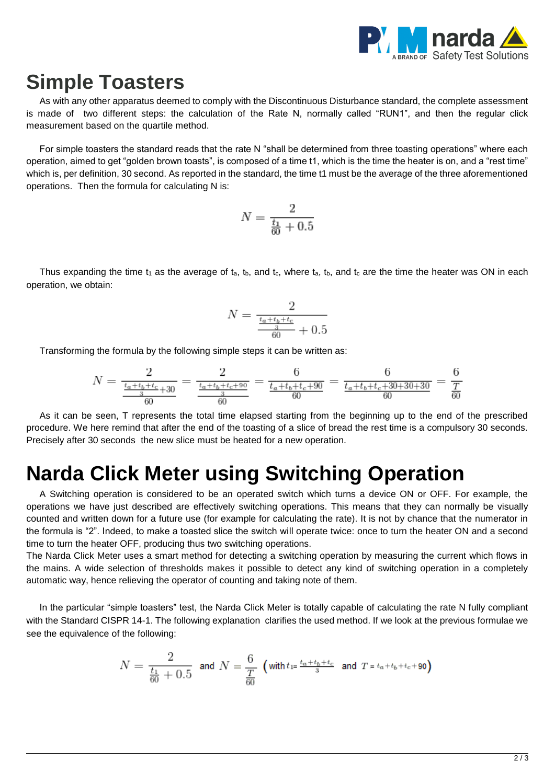

#### **Simple Toasters**

As with any other apparatus deemed to comply with the Discontinuous Disturbance standard, the complete assessment is made of two different steps: the calculation of the Rate N, normally called "RUN1", and then the regular click measurement based on the quartile method.

For simple toasters the standard reads that the rate N "shall be determined from three toasting operations" where each operation, aimed to get "golden brown toasts", is composed of a time t1, which is the time the heater is on, and a "rest time" which is, per definition, 30 second. As reported in the standard, the time t1 must be the average of the three aforementioned operations. Then the formula for calculating N is:

$$
N = \frac{2}{\frac{t_1}{60} + 0.5}
$$

Thus expanding the time  $t_1$  as the average of  $t_a$ ,  $t_b$ , and  $t_c$ , where  $t_a$ ,  $t_b$ , and  $t_c$  are the time the heater was ON in each operation, we obtain:

$$
N = \frac{2}{\frac{\frac{t_a + t_b + t_c}{3}}{60} + 0.5}
$$

Transforming the formula by the following simple steps it can be written as:

$$
N = \frac{2}{\frac{t_a + t_b + t_c}{3} + 30} = \frac{2}{\frac{t_a + t_b + t_c + 90}{3}} = \frac{6}{\frac{t_a + t_b + t_c + 90}{60}} = \frac{6}{\frac{t_a + t_b + t_c + 30 + 30 + 30}{60}} = \frac{6}{\frac{T}{60}}
$$

As it can be seen, T represents the total time elapsed starting from the beginning up to the end of the prescribed procedure. We here remind that after the end of the toasting of a slice of bread the rest time is a compulsory 30 seconds. Precisely after 30 seconds the new slice must be heated for a new operation.

### **Narda Click Meter using Switching Operation**

A Switching operation is considered to be an operated switch which turns a device ON or OFF. For example, the operations we have just described are effectively switching operations. This means that they can normally be visually counted and written down for a future use (for example for calculating the rate). It is not by chance that the numerator in the formula is "2". Indeed, to make a toasted slice the switch will operate twice: once to turn the heater ON and a second time to turn the heater OFF, producing thus two switching operations.

The Narda Click Meter uses a smart method for detecting a switching operation by measuring the current which flows in the mains. A wide selection of thresholds makes it possible to detect any kind of switching operation in a completely automatic way, hence relieving the operator of counting and taking note of them.

In the particular "simple toasters" test, the Narda Click Meter is totally capable of calculating the rate N fully compliant with the Standard CISPR 14-1. The following explanation clarifies the used method. If we look at the previous formulae we see the equivalence of the following:

$$
N = \frac{2}{\frac{t_1}{60} + 0.5}
$$
 and 
$$
N = \frac{6}{\frac{T}{60}}
$$
 (with  $t_1 = \frac{t_a + t_b + t_c}{3}$  and  $T = t_a + t_b + t_c + 90$ )